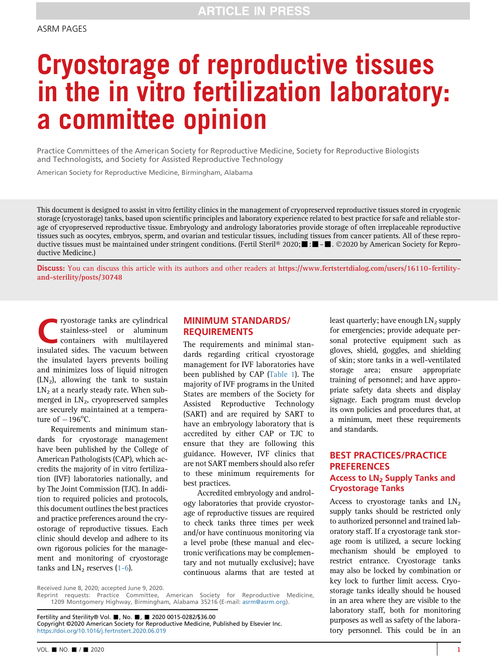# Cryostorage of reproductive tissues in the in vitro fertilization laboratory: a committee opinion

Practice Committees of the American Society for Reproductive Medicine, Society for Reproductive Biologists and Technologists, and Society for Assisted Reproductive Technology

American Society for Reproductive Medicine, Birmingham, Alabama

This document is designed to assist in vitro fertility clinics in the management of cryopreserved reproductive tissues stored in cryogenic storage (cryostorage) tanks, based upon scientific principles and laboratory experience related to best practice for safe and reliable storage of cryopreserved reproductive tissue. Embryology and andrology laboratories provide storage of often irreplaceable reproductive tissues such as oocytes, embryos, sperm, and ovarian and testicular tissues, including tissues from cancer patients. All of these reproductive tissues must be maintained under stringent conditions. (Fertil Steril® 2020;  $\blacksquare$ :  $\blacksquare$  - $\blacksquare$ . ©2020 by American Society for Reproductive Medicine.)

Discuss: You can discuss this article with its authors and other readers at [https://www.fertstertdialog.com/users/16110-fertility](https://www.fertstertdialog.com/users/16110-fertility-and-sterility/posts/30748)[and-sterility/posts/30748](https://www.fertstertdialog.com/users/16110-fertility-and-sterility/posts/30748)

ryostorage tanks are cylindrical<br>stainless-steel or aluminum<br>containers with multilayered<br>inculated sides. The vocuum hetween stainless-steel or aluminum containers with multilayered insulated sides. The vacuum between the insulated layers prevents boiling and minimizes loss of liquid nitrogen  $(LN_2)$ , allowing the tank to sustain  $LN<sub>2</sub>$  at a nearly steady rate. When submerged in  $LN<sub>2</sub>$ , cryopreserved samples are securely maintained at a temperature of  $-196$ <sup>o</sup>C.

Requirements and minimum standards for cryostorage management have been published by the College of American Pathologists (CAP), which accredits the majority of in vitro fertilization (IVF) laboratories nationally, and by The Joint Commission (TJC). In addition to required policies and protocols, this document outlines the best practices and practice preferences around the cryostorage of reproductive tissues. Each clinic should develop and adhere to its own rigorous policies for the management and monitoring of cryostorage tanks and  $LN<sub>2</sub>$  reserves ([1-6\)](#page-4-0).

#### MINIMUM STANDARDS/ REQUIREMENTS

The requirements and minimal standards regarding critical cryostorage management for IVF laboratories have been published by CAP ([Table 1](#page-1-0)). The majority of IVF programs in the United States are members of the Society for Assisted Reproductive Technology (SART) and are required by SART to have an embryology laboratory that is accredited by either CAP or TJC to ensure that they are following this guidance. However, IVF clinics that are not SART members should also refer to these minimum requirements for best practices.

Accredited embryology and andrology laboratories that provide cryostorage of reproductive tissues are required to check tanks three times per week and/or have continuous monitoring via a level probe (these manual and electronic verifications may be complementary and not mutually exclusive); have continuous alarms that are tested at least quarterly; have enough  $LN<sub>2</sub>$  supply for emergencies; provide adequate personal protective equipment such as gloves, shield, goggles, and shielding of skin; store tanks in a well-ventilated storage area; ensure appropriate training of personnel; and have appropriate safety data sheets and display signage. Each program must develop its own policies and procedures that, at a minimum, meet these requirements and standards.

# BEST PRACTICES/PRACTICE **PREFERENCES** Access to LN<sub>2</sub> Supply Tanks and Cryostorage Tanks

Access to cryostorage tanks and  $LN<sub>2</sub>$ supply tanks should be restricted only to authorized personnel and trained laboratory staff. If a cryostorage tank storage room is utilized, a secure locking mechanism should be employed to restrict entrance. Cryostorage tanks may also be locked by combination or key lock to further limit access. Cryostorage tanks ideally should be housed in an area where they are visible to the laboratory staff, both for monitoring purposes as well as safety of the laboratory personnel. This could be in an

Received June 8, 2020; accepted June 9, 2020.

Reprint requests: Practice Committee, American Society for Reproductive Medicine, 1209 Montgomery Highway, Birmingham, Alabama 35216 (E-mail: [asrm@asrm.org\)](mailto:asrm@asrm.org).

Fertility and Sterility® Vol. ■, No. ■, ■ 2020 0015-0282/\$36.00 Copyright ©2020 American Society for Reproductive Medicine, Published by Elsevier Inc. <https://doi.org/10.1016/j.fertnstert.2020.06.019>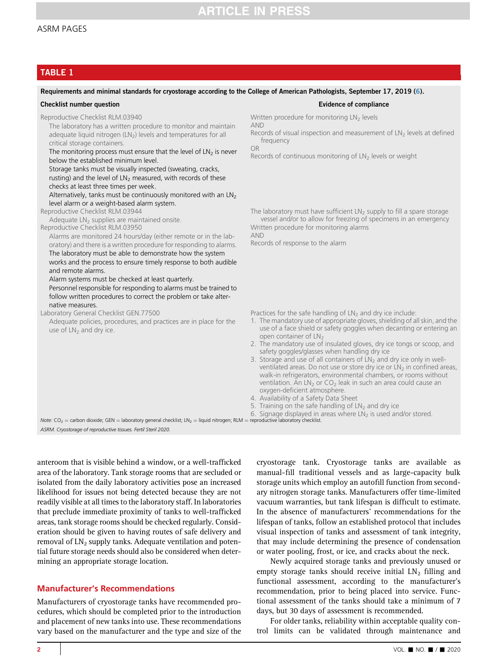Requirements and minimal standards for cryostorage according to the College of American Pathologists, September 17, 2019 [\(6](#page-4-1)).

# <span id="page-1-0"></span>TABLE 1

| <b>Checklist number question</b>                                                                                                                                                                                                                                                                                                                                                                                                                                                                                                                                                                                                                                             | <b>Evidence of compliance</b>                                                                                                                                                                                                                                                                                                                                                                                                                                                                                                                                                                                                                                                                                                                                                                                                                                                                                                     |
|------------------------------------------------------------------------------------------------------------------------------------------------------------------------------------------------------------------------------------------------------------------------------------------------------------------------------------------------------------------------------------------------------------------------------------------------------------------------------------------------------------------------------------------------------------------------------------------------------------------------------------------------------------------------------|-----------------------------------------------------------------------------------------------------------------------------------------------------------------------------------------------------------------------------------------------------------------------------------------------------------------------------------------------------------------------------------------------------------------------------------------------------------------------------------------------------------------------------------------------------------------------------------------------------------------------------------------------------------------------------------------------------------------------------------------------------------------------------------------------------------------------------------------------------------------------------------------------------------------------------------|
| Reproductive Checklist RLM.03940<br>The laboratory has a written procedure to monitor and maintain<br>adequate liquid nitrogen (LN2) levels and temperatures for all<br>critical storage containers.<br>The monitoring process must ensure that the level of $LN2$ is never<br>below the established minimum level.<br>Storage tanks must be visually inspected (sweating, cracks,<br>rusting) and the level of LN <sub>2</sub> measured, with records of these<br>checks at least three times per week.<br>Alternatively, tanks must be continuously monitored with an LN2                                                                                                  | Written procedure for monitoring LN2 levels<br><b>AND</b><br>Records of visual inspection and measurement of LN <sub>2</sub> levels at defined<br>frequency<br><b>OR</b><br>Records of continuous monitoring of LN <sub>2</sub> levels or weight                                                                                                                                                                                                                                                                                                                                                                                                                                                                                                                                                                                                                                                                                  |
| level alarm or a weight-based alarm system.<br>Reproductive Checklist RLM.03944<br>Adequate LN <sub>2</sub> supplies are maintained onsite.<br>Reproductive Checklist RLM.03950<br>Alarms are monitored 24 hours/day (either remote or in the lab-<br>oratory) and there is a written procedure for responding to alarms.<br>The laboratory must be able to demonstrate how the system<br>works and the process to ensure timely response to both audible<br>and remote alarms.<br>Alarm systems must be checked at least quarterly.<br>Personnel responsible for responding to alarms must be trained to<br>follow written procedures to correct the problem or take alter- | The laboratory must have sufficient $LN_2$ supply to fill a spare storage<br>vessel and/or to allow for freezing of specimens in an emergency<br>Written procedure for monitoring alarms<br><b>AND</b><br>Records of response to the alarm                                                                                                                                                                                                                                                                                                                                                                                                                                                                                                                                                                                                                                                                                        |
| native measures.<br>Laboratory General Checklist GEN.77500<br>Adequate policies, procedures, and practices are in place for the<br>use of LN <sub>2</sub> and dry ice.<br>the committee of the property of the com-                                                                                                                                                                                                                                                                                                                                                                                                                                                          | Practices for the safe handling of $LN2$ and dry ice include:<br>1. The mandatory use of appropriate gloves, shielding of all skin, and the<br>use of a face shield or safety goggles when decanting or entering an<br>open container of LN <sub>2</sub><br>2. The mandatory use of insulated gloves, dry ice tongs or scoop, and<br>safety goggles/glasses when handling dry ice<br>3. Storage and use of all containers of LN <sub>2</sub> and dry ice only in well-<br>ventilated areas. Do not use or store dry ice or LN <sub>2</sub> in confined areas,<br>walk-in refrigerators, environmental chambers, or rooms without<br>ventilation. An LN <sub>2</sub> or $CO2$ leak in such an area could cause an<br>oxygen-deficient atmosphere.<br>4. Availability of a Safety Data Sheet<br>5. Training on the safe handling of $LN2$ and dry ice<br>6. Signage displayed in areas where LN <sub>2</sub> is used and/or stored. |

Note: CO<sub>2</sub> = carbon dioxide; GEN = laboratory general checklist; LN<sub>2</sub> = liquid nitrogen; RLM = reproductive laboratory checklist. ASRM. Cryostorage of reproductive tissues. Fertil Steril 2020.

anteroom that is visible behind a window, or a well-trafficked area of the laboratory. Tank storage rooms that are secluded or isolated from the daily laboratory activities pose an increased likelihood for issues not being detected because they are not readily visible at all times to the laboratory staff. In laboratories that preclude immediate proximity of tanks to well-trafficked areas, tank storage rooms should be checked regularly. Consideration should be given to having routes of safe delivery and removal of  $LN<sub>2</sub>$  supply tanks. Adequate ventilation and potential future storage needs should also be considered when determining an appropriate storage location.

## Manufacturer's Recommendations

Manufacturers of cryostorage tanks have recommended procedures, which should be completed prior to the introduction and placement of new tanks into use. These recommendations vary based on the manufacturer and the type and size of the cryostorage tank. Cryostorage tanks are available as manual-fill traditional vessels and as large-capacity bulk storage units which employ an autofill function from secondary nitrogen storage tanks. Manufacturers offer time-limited vacuum warranties, but tank lifespan is difficult to estimate. In the absence of manufacturers' recommendations for the lifespan of tanks, follow an established protocol that includes visual inspection of tanks and assessment of tank integrity, that may include determining the presence of condensation or water pooling, frost, or ice, and cracks about the neck.

Newly acquired storage tanks and previously unused or empty storage tanks should receive initial  $LN<sub>2</sub>$  filling and functional assessment, according to the manufacturer's recommendation, prior to being placed into service. Functional assessment of the tanks should take a minimum of 7 days, but 30 days of assessment is recommended.

For older tanks, reliability within acceptable quality control limits can be validated through maintenance and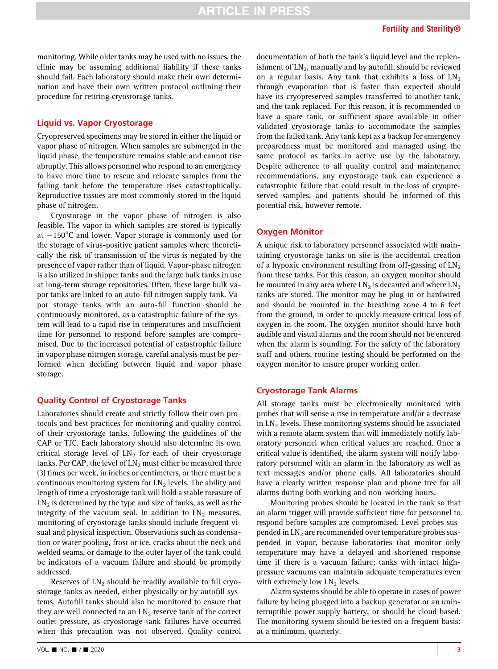monitoring. While older tanks may be used with no issues, the clinic may be assuming additional liability if these tanks should fail. Each laboratory should make their own determination and have their own written protocol outlining their procedure for retiring cryostorage tanks.

#### Liquid vs. Vapor Cryostorage

Cryopreserved specimens may be stored in either the liquid or vapor phase of nitrogen. When samples are submerged in the liquid phase, the temperature remains stable and cannot rise abruptly. This allows personnel who respond to an emergency to have more time to rescue and relocate samples from the failing tank before the temperature rises catastrophically. Reproductive tissues are most commonly stored in the liquid phase of nitrogen.

Cryostorage in the vapor phase of nitrogen is also feasible. The vapor in which samples are stored is typically at  $-150^{\circ}$ C and lower. Vapor storage is commonly used for the storage of virus-positive patient samples where theoretically the risk of transmission of the virus is negated by the presence of vapor rather than of liquid. Vapor-phase nitrogen is also utilized in shipper tanks and the large bulk tanks in use at long-term storage repositories. Often, these large bulk vapor tanks are linked to an auto-fill nitrogen supply tank. Vapor storage tanks with an auto-fill function should be continuously monitored, as a catastrophic failure of the system will lead to a rapid rise in temperatures and insufficient time for personnel to respond before samples are compromised. Due to the increased potential of catastrophic failure in vapor phase nitrogen storage, careful analysis must be performed when deciding between liquid and vapor phase storage.

#### Quality Control of Cryostorage Tanks

Laboratories should create and strictly follow their own protocols and best practices for monitoring and quality control of their cryostorage tanks, following the guidelines of the CAP or TJC. Each laboratory should also determine its own critical storage level of  $LN<sub>2</sub>$  for each of their cryostorage tanks. Per CAP, the level of  $LN<sub>2</sub>$  must either be measured three (3) times per week, in inches or centimeters, or there must be a continuous monitoring system for  $LN<sub>2</sub>$  levels. The ability and length of time a cryostorage tank will hold a stable measure of  $LN<sub>2</sub>$  is determined by the type and size of tanks, as well as the integrity of the vacuum seal. In addition to  $LN<sub>2</sub>$  measures, monitoring of cryostorage tanks should include frequent visual and physical inspection. Observations such as condensation or water pooling, frost or ice, cracks about the neck and welded seams, or damage to the outer layer of the tank could be indicators of a vacuum failure and should be promptly addressed.

Reserves of  $LN<sub>2</sub>$  should be readily available to fill cryostorage tanks as needed, either physically or by autofill systems. Autofill tanks should also be monitored to ensure that they are well connected to an  $LN<sub>2</sub>$  reserve tank of the correct outlet pressure, as cryostorage tank failures have occurred when this precaution was not observed. Quality control

VOL.  $\blacksquare$  NO.  $\blacksquare$  /  $\blacksquare$  2020 3

documentation of both the tank's liquid level and the replenishment of  $LN<sub>2</sub>$ , manually and by autofill, should be reviewed on a regular basis. Any tank that exhibits a loss of  $LN<sub>2</sub>$ through evaporation that is faster than expected should have its cryopreserved samples transferred to another tank, and the tank replaced. For this reason, it is recommended to have a spare tank, or sufficient space available in other validated cryostorage tanks to accommodate the samples from the failed tank. Any tank kept as a backup for emergency preparedness must be monitored and managed using the same protocol as tanks in active use by the laboratory. Despite adherence to all quality control and maintenance recommendations, any cryostorage tank can experience a catastrophic failure that could result in the loss of cryopreserved samples, and patients should be informed of this potential risk, however remote.

#### Oxygen Monitor

A unique risk to laboratory personnel associated with maintaining cryostorage tanks on site is the accidental creation of a hypoxic environment resulting from off-gassing of  $LN<sub>2</sub>$ from these tanks. For this reason, an oxygen monitor should be mounted in any area where  $LN_2$  is decanted and where  $LN_2$ tanks are stored. The monitor may be plug-in or hardwired and should be mounted in the breathing zone 4 to 6 feet from the ground, in order to quickly measure critical loss of oxygen in the room. The oxygen monitor should have both audible and visual alarms and the room should not be entered when the alarm is sounding. For the safety of the laboratory staff and others, routine testing should be performed on the oxygen monitor to ensure proper working order.

#### Cryostorage Tank Alarms

All storage tanks must be electronically monitored with probes that will sense a rise in temperature and/or a decrease in  $LN<sub>2</sub>$  levels. These monitoring systems should be associated with a remote alarm system that will immediately notify laboratory personnel when critical values are reached. Once a critical value is identified, the alarm system will notify laboratory personnel with an alarm in the laboratory as well as text messages and/or phone calls. All laboratories should have a clearly written response plan and phone tree for all alarms during both working and non-working hours.

Monitoring probes should be located in the tank so that an alarm trigger will provide sufficient time for personnel to respond before samples are compromised. Level probes suspended in  $LN<sub>2</sub>$  are recommended over temperature probes suspended in vapor, because laboratories that monitor only temperature may have a delayed and shortened response time if there is a vacuum failure; tanks with intact highpressure vacuums can maintain adequate temperatures even with extremely low  $LN<sub>2</sub>$  levels.

Alarm systems should be able to operate in cases of power failure by being plugged into a backup generator or an uninterruptible power supply battery, or should be cloud based. The monitoring system should be tested on a frequent basis: at a minimum, quarterly.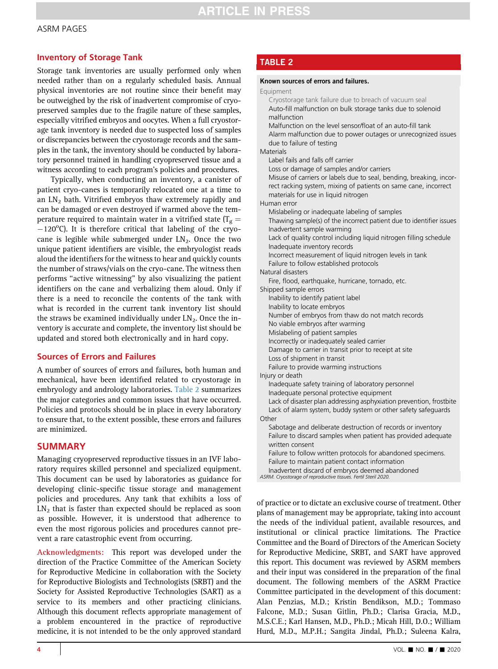### ASRM PAGES

#### Inventory of Storage Tank

Storage tank inventories are usually performed only when needed rather than on a regularly scheduled basis. Annual physical inventories are not routine since their benefit may be outweighed by the risk of inadvertent compromise of cryopreserved samples due to the fragile nature of these samples, especially vitrified embryos and oocytes. When a full cryostorage tank inventory is needed due to suspected loss of samples or discrepancies between the cryostorage records and the samples in the tank, the inventory should be conducted by laboratory personnel trained in handling cryopreserved tissue and a witness according to each program's policies and procedures.

Typically, when conducting an inventory, a canister of patient cryo-canes is temporarily relocated one at a time to an  $LN<sub>2</sub>$  bath. Vitrified embryos thaw extremely rapidly and can be damaged or even destroyed if warmed above the temperature required to maintain water in a vitrified state  $(T_g =$  $-120$ °C). It is therefore critical that labeling of the cryocane is legible while submerged under  $LN<sub>2</sub>$ . Once the two unique patient identifiers are visible, the embryologist reads aloud the identifiers for the witness to hear and quickly counts the number of straws/vials on the cryo-cane. The witness then performs ''active witnessing'' by also visualizing the patient identifiers on the cane and verbalizing them aloud. Only if there is a need to reconcile the contents of the tank with what is recorded in the current tank inventory list should the straws be examined individually under  $LN<sub>2</sub>$ . Once the inventory is accurate and complete, the inventory list should be updated and stored both electronically and in hard copy.

#### Sources of Errors and Failures

A number of sources of errors and failures, both human and mechanical, have been identified related to cryostorage in embryology and andrology laboratories. [Table 2](#page-3-0) summarizes the major categories and common issues that have occurred. Policies and protocols should be in place in every laboratory to ensure that, to the extent possible, these errors and failures are minimized.

#### SUMMARY

Managing cryopreserved reproductive tissues in an IVF laboratory requires skilled personnel and specialized equipment. This document can be used by laboratories as guidance for developing clinic-specific tissue storage and management policies and procedures. Any tank that exhibits a loss of  $LN<sub>2</sub>$  that is faster than expected should be replaced as soon as possible. However, it is understood that adherence to even the most rigorous policies and procedures cannot prevent a rare catastrophic event from occurring.

Acknowledgments: This report was developed under the direction of the Practice Committee of the American Society for Reproductive Medicine in collaboration with the Society for Reproductive Biologists and Technologists (SRBT) and the Society for Assisted Reproductive Technologies (SART) as a service to its members and other practicing clinicians. Although this document reflects appropriate management of a problem encountered in the practice of reproductive medicine, it is not intended to be the only approved standard

# <span id="page-3-0"></span>TABLE 2

#### Known sources of errors and failures.

Equipment

Cryostorage tank failure due to breach of vacuum seal Auto-fill malfunction on bulk storage tanks due to solenoid malfunction Malfunction on the level sensor/float of an auto-fill tank Alarm malfunction due to power outages or unrecognized issues due to failure of testing **Materials** Label fails and falls off carrier Loss or damage of samples and/or carriers Misuse of carriers or labels due to seal, bending, breaking, incorrect racking system, mixing of patients on same cane, incorrect materials for use in liquid nitrogen Human error Mislabeling or inadequate labeling of samples Thawing sample(s) of the incorrect patient due to identifier issues Inadvertent sample warming Lack of quality control including liquid nitrogen filling schedule Inadequate inventory records Incorrect measurement of liquid nitrogen levels in tank Failure to follow established protocols Natural disasters Fire, flood, earthquake, hurricane, tornado, etc. Shipped sample errors Inability to identify patient label Inability to locate embryos Number of embryos from thaw do not match records No viable embryos after warming Mislabeling of patient samples Incorrectly or inadequately sealed carrier Damage to carrier in transit prior to receipt at site Loss of shipment in transit Failure to provide warming instructions Injury or death Inadequate safety training of laboratory personnel Inadequate personal protective equipment Lack of disaster plan addressing asphyxiation prevention, frostbite Lack of alarm system, buddy system or other safety safeguards **Other** Sabotage and deliberate destruction of records or inventory Failure to discard samples when patient has provided adequate written consent Failure to follow written protocols for abandoned specimens. Failure to maintain patient contact information Inadvertent discard of embryos deemed abandoned

ASRM. Cryostorage of reproductive tissues. Fertil Steril 2020.

of practice or to dictate an exclusive course of treatment. Other plans of management may be appropriate, taking into account the needs of the individual patient, available resources, and institutional or clinical practice limitations. The Practice Committee and the Board of Directors of the American Society for Reproductive Medicine, SRBT, and SART have approved this report. This document was reviewed by ASRM members and their input was considered in the preparation of the final document. The following members of the ASRM Practice Committee participated in the development of this document: Alan Penzias, M.D.; Kristin Bendikson, M.D.; Tommaso Falcone, M.D.; Susan Gitlin, Ph.D.; Clarisa Gracia, M.D., M.S.C.E.; Karl Hansen, M.D., Ph.D.; Micah Hill, D.O.; William Hurd, M.D., M.P.H.; Sangita Jindal, Ph.D.; Suleena Kalra,